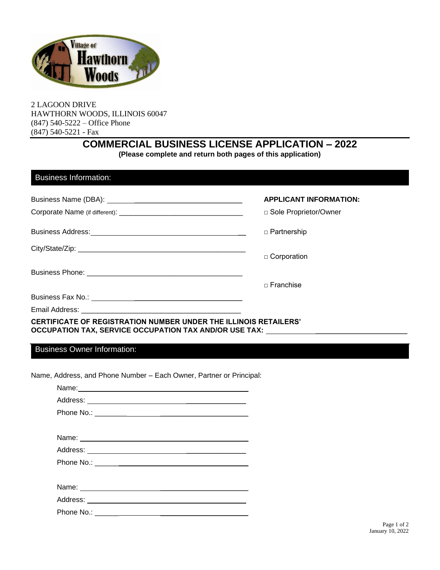

2 LAGOON DRIVE HAWTHORN WOODS, ILLINOIS 60047 (847) 540-5222 – Office Phone (847) 540-5221 - Fax

## **COMMERCIAL BUSINESS LICENSE APPLICATION – 2022**

**(Please complete and return both pages of this application)**

| <b>APPLICANT INFORMATION:</b> |
|-------------------------------|
| □ Sole Proprietor/Owner       |
| □ Partnership                 |
| $\Box$ Corporation            |
|                               |
| $\sqcap$ Franchise            |
|                               |
|                               |

Business Owner Information:

Name, Address, and Phone Number – Each Owner, Partner or Principal:

| Name: |
|-------|
|       |
|       |